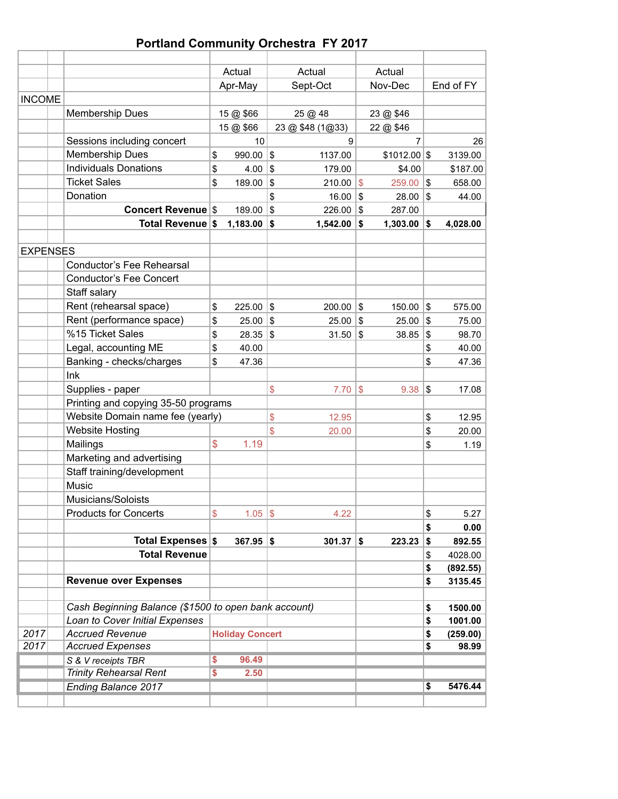# **Portland Community Orchestra FY 2017**

|                 |                                                      |               | Actual                 |               | Actual           |            | Actual        |                           |           |
|-----------------|------------------------------------------------------|---------------|------------------------|---------------|------------------|------------|---------------|---------------------------|-----------|
|                 |                                                      |               | Apr-May                |               | Sept-Oct         |            | Nov-Dec       |                           | End of FY |
| <b>INCOME</b>   |                                                      |               |                        |               |                  |            |               |                           |           |
|                 | Membership Dues                                      |               | 15 @ \$66              |               | 25 @ 48          |            | 23 @ \$46     |                           |           |
|                 |                                                      |               | 15 @ \$66              |               | 23 @ \$48 (1@33) |            | 22 @ \$46     |                           |           |
|                 | Sessions including concert                           |               | 10                     |               | 9                |            | 7             |                           | 26        |
|                 | Membership Dues                                      | \$            | 990.00                 | $\mathfrak s$ | 1137.00          |            | $$1012.00$ \$ |                           | 3139.00   |
|                 | <b>Individuals Donations</b>                         | \$            | 4.00                   | \$            | 179.00           |            | \$4.00        |                           | \$187.00  |
|                 | <b>Ticket Sales</b>                                  | \$            | 189.00                 | \$            | 210.00           | \$         | 259.00        | $\boldsymbol{\mathsf{S}}$ | 658.00    |
|                 | Donation                                             |               |                        | \$            | 16.00            | \$         | $28.00$ \\$   |                           | 44.00     |
|                 | <b>Concert Revenue \$</b>                            |               | 189.00                 | $\mathfrak s$ | 226.00           | \$         | 287.00        |                           |           |
|                 | Total Revenue \$                                     |               | 1,183.00               | \$            | 1,542.00         | \$         | $1,303.00$ \$ |                           | 4,028.00  |
|                 |                                                      |               |                        |               |                  |            |               |                           |           |
| <b>EXPENSES</b> |                                                      |               |                        |               |                  |            |               |                           |           |
|                 | Conductor's Fee Rehearsal                            |               |                        |               |                  |            |               |                           |           |
|                 | <b>Conductor's Fee Concert</b>                       |               |                        |               |                  |            |               |                           |           |
|                 | Staff salary                                         |               |                        |               |                  |            |               |                           |           |
|                 | Rent (rehearsal space)                               | \$            | $225.00$ \\$           |               | $200.00$ \\$     |            | $150.00$ \\$  |                           | 575.00    |
|                 | Rent (performance space)                             | \$            | $25.00$ \\$            |               | 25.00            | \$         | $25.00$ \\$   |                           | 75.00     |
|                 | %15 Ticket Sales                                     | \$            | $28.35$ \\$            |               | 31.50            | \$         | 38.85         | \$                        | 98.70     |
|                 | Legal, accounting ME                                 | \$            | 40.00                  |               |                  |            |               | \$                        | 40.00     |
|                 | Banking - checks/charges                             | \$            | 47.36                  |               |                  |            |               | \$                        | 47.36     |
|                 | Ink                                                  |               |                        |               |                  |            |               |                           |           |
|                 | Supplies - paper                                     |               |                        | \$            | 7.70             | $\sqrt{3}$ | 9.38          | \$                        | 17.08     |
|                 | Printing and copying 35-50 programs                  |               |                        |               |                  |            |               |                           |           |
|                 | Website Domain name fee (yearly)                     |               |                        | $\mathsf{\$}$ | 12.95            |            |               | \$                        | 12.95     |
|                 | <b>Website Hosting</b>                               |               |                        | \$            | 20.00            |            |               | \$                        | 20.00     |
|                 | Mailings                                             | $\mathsf{\$}$ | 1.19                   |               |                  |            |               | \$                        | 1.19      |
|                 | Marketing and advertising                            |               |                        |               |                  |            |               |                           |           |
|                 | Staff training/development                           |               |                        |               |                  |            |               |                           |           |
|                 | Music                                                |               |                        |               |                  |            |               |                           |           |
|                 | Musicians/Soloists                                   |               |                        |               |                  |            |               |                           |           |
|                 | <b>Products for Concerts</b>                         | \$            | $1.05$ \\$             |               | 4.22             |            |               | \$                        | 5.27      |
|                 |                                                      |               |                        |               |                  |            |               | \$                        | 0.00      |
|                 | Total Expenses \$                                    |               | $367.95$ \$            |               | $301.37$ \$      |            | 223.23        | \$                        | 892.55    |
|                 | <b>Total Revenue</b>                                 |               |                        |               |                  |            |               | \$                        | 4028.00   |
|                 |                                                      |               |                        |               |                  |            |               | \$                        | (892.55)  |
|                 | <b>Revenue over Expenses</b>                         |               |                        |               |                  |            |               | \$                        | 3135.45   |
|                 |                                                      |               |                        |               |                  |            |               |                           |           |
|                 | Cash Beginning Balance (\$1500 to open bank account) |               |                        |               |                  |            |               | \$                        | 1500.00   |
|                 | Loan to Cover Initial Expenses                       |               |                        |               |                  |            |               | \$                        | 1001.00   |
| 2017            | <b>Accrued Revenue</b>                               |               | <b>Holiday Concert</b> |               |                  |            |               | \$                        | (259.00)  |
| 2017            | <b>Accrued Expenses</b>                              |               |                        |               |                  |            |               | \$                        | 98.99     |
|                 | S & V receipts TBR                                   | \$            | 96.49                  |               |                  |            |               |                           |           |
|                 | <b>Trinity Rehearsal Rent</b>                        | \$            | 2.50                   |               |                  |            |               |                           |           |
|                 | <b>Ending Balance 2017</b>                           |               |                        |               |                  |            |               | \$                        | 5476.44   |
|                 |                                                      |               |                        |               |                  |            |               |                           |           |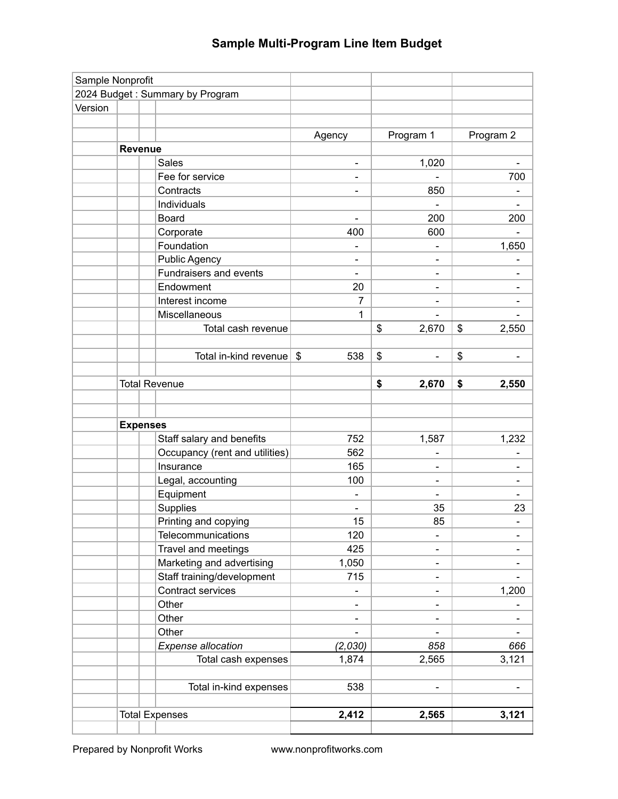| 2024 Budget: Summary by Program<br>Version<br>Program 1<br>Program 2<br>Agency<br>Revenue<br>1,020<br><b>Sales</b><br>Fee for service<br>700<br>$\qquad \qquad \blacksquare$<br>Contracts<br>850<br>$\overline{\phantom{0}}$<br>Individuals<br>Board<br>200<br>200<br>$\blacksquare$<br>400<br>600<br>Corporate<br>Foundation<br>1,650<br><b>Public Agency</b><br>-<br>-<br>Fundraisers and events<br>$\blacksquare$<br>$\qquad \qquad \blacksquare$<br>Endowment<br>20<br>$\overline{7}$<br>Interest income<br>$\qquad \qquad \blacksquare$<br>Miscellaneous<br>1<br>Total cash revenue<br>\$<br>2,670<br>\$<br>2,550<br>\$<br>\$<br>Total in-kind revenue $\frac{1}{2}$<br>538<br>\$<br>\$<br><b>Total Revenue</b><br>2,670<br>2,550<br><b>Expenses</b><br>1,587<br>1,232<br>Staff salary and benefits<br>752<br>Occupancy (rent and utilities)<br>562<br>Insurance<br>165<br>Legal, accounting<br>100<br>$\overline{\phantom{a}}$<br>$\qquad \qquad$<br>Equipment<br>$\blacksquare$<br>Supplies<br>35<br>23<br>85<br>Printing and copying<br>15<br>120<br>Telecommunications<br>425<br>Travel and meetings<br>Marketing and advertising<br>1,050<br>-<br>Staff training/development<br>715<br>$\overline{\phantom{a}}$<br>Contract services<br>1,200<br>Other<br>-<br>$\overline{\phantom{a}}$<br>Other<br>-<br>-<br>Other<br>$\blacksquare$<br>$\overline{\phantom{0}}$<br>(2,030)<br>858<br>Expense allocation<br>666<br>Total cash expenses<br>1,874<br>2,565<br>3,121<br>538<br>Total in-kind expenses<br>$\blacksquare$<br><b>Total Expenses</b><br>2,412<br>2,565<br>3,121 | Sample Nonprofit |  |  |  |
|-------------------------------------------------------------------------------------------------------------------------------------------------------------------------------------------------------------------------------------------------------------------------------------------------------------------------------------------------------------------------------------------------------------------------------------------------------------------------------------------------------------------------------------------------------------------------------------------------------------------------------------------------------------------------------------------------------------------------------------------------------------------------------------------------------------------------------------------------------------------------------------------------------------------------------------------------------------------------------------------------------------------------------------------------------------------------------------------------------------------------------------------------------------------------------------------------------------------------------------------------------------------------------------------------------------------------------------------------------------------------------------------------------------------------------------------------------------------------------------------------------------------------------------------------------------------------------------|------------------|--|--|--|
|                                                                                                                                                                                                                                                                                                                                                                                                                                                                                                                                                                                                                                                                                                                                                                                                                                                                                                                                                                                                                                                                                                                                                                                                                                                                                                                                                                                                                                                                                                                                                                                     |                  |  |  |  |
|                                                                                                                                                                                                                                                                                                                                                                                                                                                                                                                                                                                                                                                                                                                                                                                                                                                                                                                                                                                                                                                                                                                                                                                                                                                                                                                                                                                                                                                                                                                                                                                     |                  |  |  |  |
|                                                                                                                                                                                                                                                                                                                                                                                                                                                                                                                                                                                                                                                                                                                                                                                                                                                                                                                                                                                                                                                                                                                                                                                                                                                                                                                                                                                                                                                                                                                                                                                     |                  |  |  |  |
|                                                                                                                                                                                                                                                                                                                                                                                                                                                                                                                                                                                                                                                                                                                                                                                                                                                                                                                                                                                                                                                                                                                                                                                                                                                                                                                                                                                                                                                                                                                                                                                     |                  |  |  |  |
|                                                                                                                                                                                                                                                                                                                                                                                                                                                                                                                                                                                                                                                                                                                                                                                                                                                                                                                                                                                                                                                                                                                                                                                                                                                                                                                                                                                                                                                                                                                                                                                     |                  |  |  |  |
|                                                                                                                                                                                                                                                                                                                                                                                                                                                                                                                                                                                                                                                                                                                                                                                                                                                                                                                                                                                                                                                                                                                                                                                                                                                                                                                                                                                                                                                                                                                                                                                     |                  |  |  |  |
|                                                                                                                                                                                                                                                                                                                                                                                                                                                                                                                                                                                                                                                                                                                                                                                                                                                                                                                                                                                                                                                                                                                                                                                                                                                                                                                                                                                                                                                                                                                                                                                     |                  |  |  |  |
|                                                                                                                                                                                                                                                                                                                                                                                                                                                                                                                                                                                                                                                                                                                                                                                                                                                                                                                                                                                                                                                                                                                                                                                                                                                                                                                                                                                                                                                                                                                                                                                     |                  |  |  |  |
|                                                                                                                                                                                                                                                                                                                                                                                                                                                                                                                                                                                                                                                                                                                                                                                                                                                                                                                                                                                                                                                                                                                                                                                                                                                                                                                                                                                                                                                                                                                                                                                     |                  |  |  |  |
|                                                                                                                                                                                                                                                                                                                                                                                                                                                                                                                                                                                                                                                                                                                                                                                                                                                                                                                                                                                                                                                                                                                                                                                                                                                                                                                                                                                                                                                                                                                                                                                     |                  |  |  |  |
|                                                                                                                                                                                                                                                                                                                                                                                                                                                                                                                                                                                                                                                                                                                                                                                                                                                                                                                                                                                                                                                                                                                                                                                                                                                                                                                                                                                                                                                                                                                                                                                     |                  |  |  |  |
|                                                                                                                                                                                                                                                                                                                                                                                                                                                                                                                                                                                                                                                                                                                                                                                                                                                                                                                                                                                                                                                                                                                                                                                                                                                                                                                                                                                                                                                                                                                                                                                     |                  |  |  |  |
|                                                                                                                                                                                                                                                                                                                                                                                                                                                                                                                                                                                                                                                                                                                                                                                                                                                                                                                                                                                                                                                                                                                                                                                                                                                                                                                                                                                                                                                                                                                                                                                     |                  |  |  |  |
|                                                                                                                                                                                                                                                                                                                                                                                                                                                                                                                                                                                                                                                                                                                                                                                                                                                                                                                                                                                                                                                                                                                                                                                                                                                                                                                                                                                                                                                                                                                                                                                     |                  |  |  |  |
|                                                                                                                                                                                                                                                                                                                                                                                                                                                                                                                                                                                                                                                                                                                                                                                                                                                                                                                                                                                                                                                                                                                                                                                                                                                                                                                                                                                                                                                                                                                                                                                     |                  |  |  |  |
|                                                                                                                                                                                                                                                                                                                                                                                                                                                                                                                                                                                                                                                                                                                                                                                                                                                                                                                                                                                                                                                                                                                                                                                                                                                                                                                                                                                                                                                                                                                                                                                     |                  |  |  |  |
|                                                                                                                                                                                                                                                                                                                                                                                                                                                                                                                                                                                                                                                                                                                                                                                                                                                                                                                                                                                                                                                                                                                                                                                                                                                                                                                                                                                                                                                                                                                                                                                     |                  |  |  |  |
|                                                                                                                                                                                                                                                                                                                                                                                                                                                                                                                                                                                                                                                                                                                                                                                                                                                                                                                                                                                                                                                                                                                                                                                                                                                                                                                                                                                                                                                                                                                                                                                     |                  |  |  |  |
|                                                                                                                                                                                                                                                                                                                                                                                                                                                                                                                                                                                                                                                                                                                                                                                                                                                                                                                                                                                                                                                                                                                                                                                                                                                                                                                                                                                                                                                                                                                                                                                     |                  |  |  |  |
|                                                                                                                                                                                                                                                                                                                                                                                                                                                                                                                                                                                                                                                                                                                                                                                                                                                                                                                                                                                                                                                                                                                                                                                                                                                                                                                                                                                                                                                                                                                                                                                     |                  |  |  |  |
|                                                                                                                                                                                                                                                                                                                                                                                                                                                                                                                                                                                                                                                                                                                                                                                                                                                                                                                                                                                                                                                                                                                                                                                                                                                                                                                                                                                                                                                                                                                                                                                     |                  |  |  |  |
|                                                                                                                                                                                                                                                                                                                                                                                                                                                                                                                                                                                                                                                                                                                                                                                                                                                                                                                                                                                                                                                                                                                                                                                                                                                                                                                                                                                                                                                                                                                                                                                     |                  |  |  |  |
|                                                                                                                                                                                                                                                                                                                                                                                                                                                                                                                                                                                                                                                                                                                                                                                                                                                                                                                                                                                                                                                                                                                                                                                                                                                                                                                                                                                                                                                                                                                                                                                     |                  |  |  |  |
|                                                                                                                                                                                                                                                                                                                                                                                                                                                                                                                                                                                                                                                                                                                                                                                                                                                                                                                                                                                                                                                                                                                                                                                                                                                                                                                                                                                                                                                                                                                                                                                     |                  |  |  |  |
|                                                                                                                                                                                                                                                                                                                                                                                                                                                                                                                                                                                                                                                                                                                                                                                                                                                                                                                                                                                                                                                                                                                                                                                                                                                                                                                                                                                                                                                                                                                                                                                     |                  |  |  |  |
|                                                                                                                                                                                                                                                                                                                                                                                                                                                                                                                                                                                                                                                                                                                                                                                                                                                                                                                                                                                                                                                                                                                                                                                                                                                                                                                                                                                                                                                                                                                                                                                     |                  |  |  |  |
|                                                                                                                                                                                                                                                                                                                                                                                                                                                                                                                                                                                                                                                                                                                                                                                                                                                                                                                                                                                                                                                                                                                                                                                                                                                                                                                                                                                                                                                                                                                                                                                     |                  |  |  |  |
|                                                                                                                                                                                                                                                                                                                                                                                                                                                                                                                                                                                                                                                                                                                                                                                                                                                                                                                                                                                                                                                                                                                                                                                                                                                                                                                                                                                                                                                                                                                                                                                     |                  |  |  |  |
|                                                                                                                                                                                                                                                                                                                                                                                                                                                                                                                                                                                                                                                                                                                                                                                                                                                                                                                                                                                                                                                                                                                                                                                                                                                                                                                                                                                                                                                                                                                                                                                     |                  |  |  |  |
|                                                                                                                                                                                                                                                                                                                                                                                                                                                                                                                                                                                                                                                                                                                                                                                                                                                                                                                                                                                                                                                                                                                                                                                                                                                                                                                                                                                                                                                                                                                                                                                     |                  |  |  |  |
|                                                                                                                                                                                                                                                                                                                                                                                                                                                                                                                                                                                                                                                                                                                                                                                                                                                                                                                                                                                                                                                                                                                                                                                                                                                                                                                                                                                                                                                                                                                                                                                     |                  |  |  |  |
|                                                                                                                                                                                                                                                                                                                                                                                                                                                                                                                                                                                                                                                                                                                                                                                                                                                                                                                                                                                                                                                                                                                                                                                                                                                                                                                                                                                                                                                                                                                                                                                     |                  |  |  |  |
|                                                                                                                                                                                                                                                                                                                                                                                                                                                                                                                                                                                                                                                                                                                                                                                                                                                                                                                                                                                                                                                                                                                                                                                                                                                                                                                                                                                                                                                                                                                                                                                     |                  |  |  |  |
|                                                                                                                                                                                                                                                                                                                                                                                                                                                                                                                                                                                                                                                                                                                                                                                                                                                                                                                                                                                                                                                                                                                                                                                                                                                                                                                                                                                                                                                                                                                                                                                     |                  |  |  |  |
|                                                                                                                                                                                                                                                                                                                                                                                                                                                                                                                                                                                                                                                                                                                                                                                                                                                                                                                                                                                                                                                                                                                                                                                                                                                                                                                                                                                                                                                                                                                                                                                     |                  |  |  |  |
|                                                                                                                                                                                                                                                                                                                                                                                                                                                                                                                                                                                                                                                                                                                                                                                                                                                                                                                                                                                                                                                                                                                                                                                                                                                                                                                                                                                                                                                                                                                                                                                     |                  |  |  |  |
|                                                                                                                                                                                                                                                                                                                                                                                                                                                                                                                                                                                                                                                                                                                                                                                                                                                                                                                                                                                                                                                                                                                                                                                                                                                                                                                                                                                                                                                                                                                                                                                     |                  |  |  |  |
|                                                                                                                                                                                                                                                                                                                                                                                                                                                                                                                                                                                                                                                                                                                                                                                                                                                                                                                                                                                                                                                                                                                                                                                                                                                                                                                                                                                                                                                                                                                                                                                     |                  |  |  |  |
|                                                                                                                                                                                                                                                                                                                                                                                                                                                                                                                                                                                                                                                                                                                                                                                                                                                                                                                                                                                                                                                                                                                                                                                                                                                                                                                                                                                                                                                                                                                                                                                     |                  |  |  |  |
|                                                                                                                                                                                                                                                                                                                                                                                                                                                                                                                                                                                                                                                                                                                                                                                                                                                                                                                                                                                                                                                                                                                                                                                                                                                                                                                                                                                                                                                                                                                                                                                     |                  |  |  |  |
|                                                                                                                                                                                                                                                                                                                                                                                                                                                                                                                                                                                                                                                                                                                                                                                                                                                                                                                                                                                                                                                                                                                                                                                                                                                                                                                                                                                                                                                                                                                                                                                     |                  |  |  |  |
|                                                                                                                                                                                                                                                                                                                                                                                                                                                                                                                                                                                                                                                                                                                                                                                                                                                                                                                                                                                                                                                                                                                                                                                                                                                                                                                                                                                                                                                                                                                                                                                     |                  |  |  |  |
|                                                                                                                                                                                                                                                                                                                                                                                                                                                                                                                                                                                                                                                                                                                                                                                                                                                                                                                                                                                                                                                                                                                                                                                                                                                                                                                                                                                                                                                                                                                                                                                     |                  |  |  |  |
|                                                                                                                                                                                                                                                                                                                                                                                                                                                                                                                                                                                                                                                                                                                                                                                                                                                                                                                                                                                                                                                                                                                                                                                                                                                                                                                                                                                                                                                                                                                                                                                     |                  |  |  |  |
|                                                                                                                                                                                                                                                                                                                                                                                                                                                                                                                                                                                                                                                                                                                                                                                                                                                                                                                                                                                                                                                                                                                                                                                                                                                                                                                                                                                                                                                                                                                                                                                     |                  |  |  |  |
|                                                                                                                                                                                                                                                                                                                                                                                                                                                                                                                                                                                                                                                                                                                                                                                                                                                                                                                                                                                                                                                                                                                                                                                                                                                                                                                                                                                                                                                                                                                                                                                     |                  |  |  |  |
|                                                                                                                                                                                                                                                                                                                                                                                                                                                                                                                                                                                                                                                                                                                                                                                                                                                                                                                                                                                                                                                                                                                                                                                                                                                                                                                                                                                                                                                                                                                                                                                     |                  |  |  |  |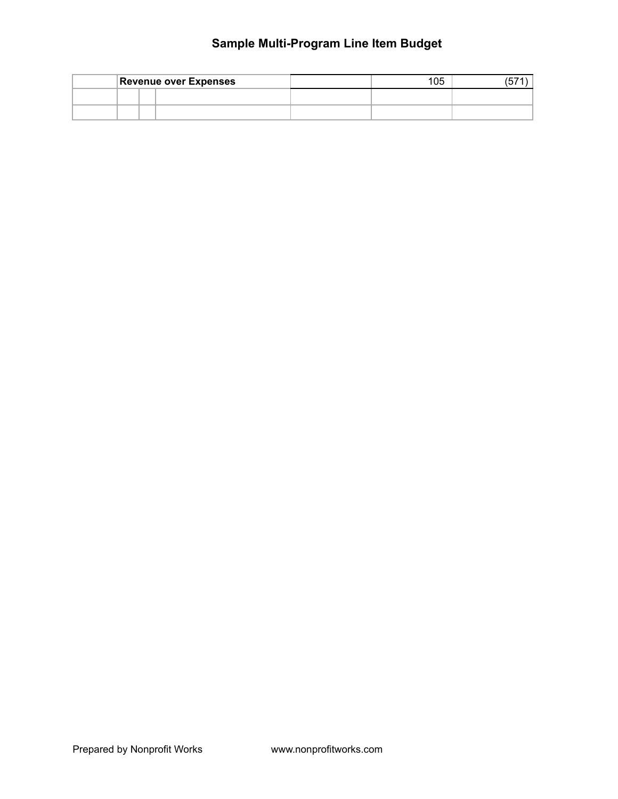|  | <b>Revenue over Expenses</b> | 105 |  |
|--|------------------------------|-----|--|
|  |                              |     |  |
|  |                              |     |  |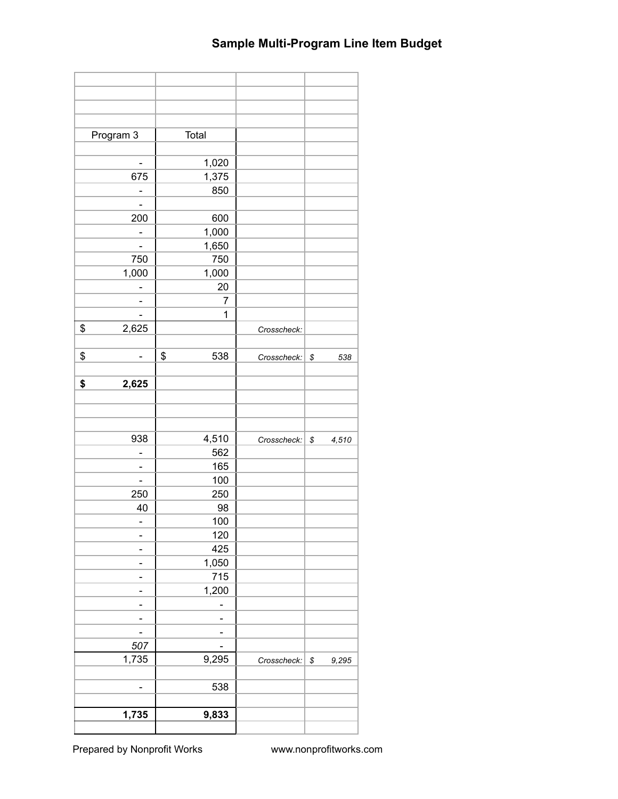| Program 3                    | Total     |             |                        |
|------------------------------|-----------|-------------|------------------------|
|                              |           |             |                        |
| $\qquad \qquad \blacksquare$ | 1,020     |             |                        |
| 675                          | 1,375     |             |                        |
|                              | 850       |             |                        |
|                              |           |             |                        |
| 200                          | 600       |             |                        |
|                              | 1,000     |             |                        |
|                              | 1,650     |             |                        |
| 750                          | 750       |             |                        |
|                              |           |             |                        |
| 1,000                        | 1,000     |             |                        |
|                              | 20        |             |                        |
|                              | 7         |             |                        |
|                              | 1         |             |                        |
| \$<br>2,625                  |           | Crosscheck: |                        |
|                              |           |             |                        |
| \$                           | \$<br>538 | Crosscheck: | \$<br>538              |
|                              |           |             |                        |
| \$<br>2,625                  |           |             |                        |
|                              |           |             |                        |
|                              |           |             |                        |
|                              |           |             |                        |
| 938                          | 4,510     | Crosscheck: | ${\mathbb S}$<br>4,510 |
|                              | 562       |             |                        |
|                              | 165       |             |                        |
|                              | 100       |             |                        |
| 250                          | 250       |             |                        |
| 40                           | 98        |             |                        |
| $\overline{\phantom{0}}$     | 100       |             |                        |
|                              | 120       |             |                        |
|                              | 425       |             |                        |
|                              | 1,050     |             |                        |
|                              | 715       |             |                        |
|                              | 1,200     |             |                        |
|                              |           |             |                        |
|                              |           |             |                        |
|                              |           |             |                        |
| 507                          |           |             |                        |
| 1,735                        | 9,295     | Crosscheck: | \$<br>9,295            |
|                              |           |             |                        |
|                              | 538       |             |                        |
| -                            |           |             |                        |
|                              |           |             |                        |
| 1,735                        | 9,833     |             |                        |
|                              |           |             |                        |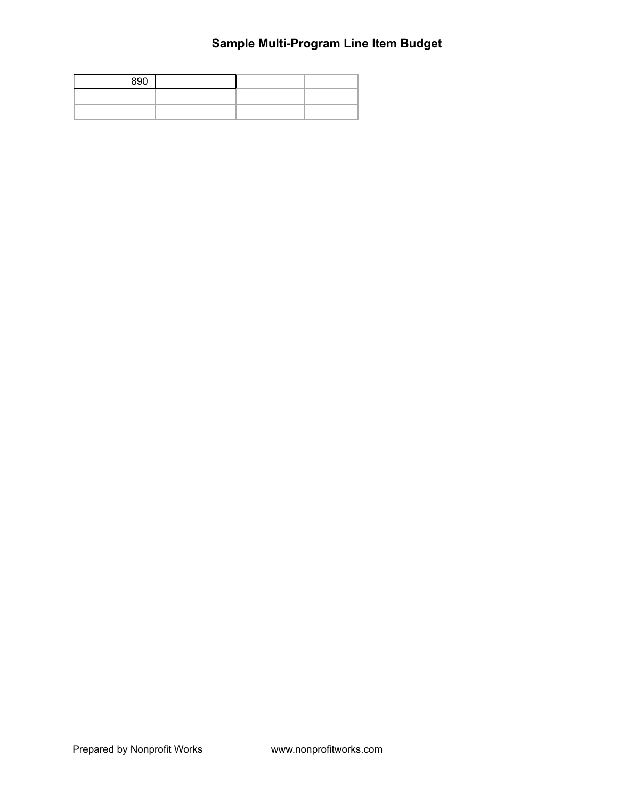| 890 |  |  |
|-----|--|--|
|     |  |  |
|     |  |  |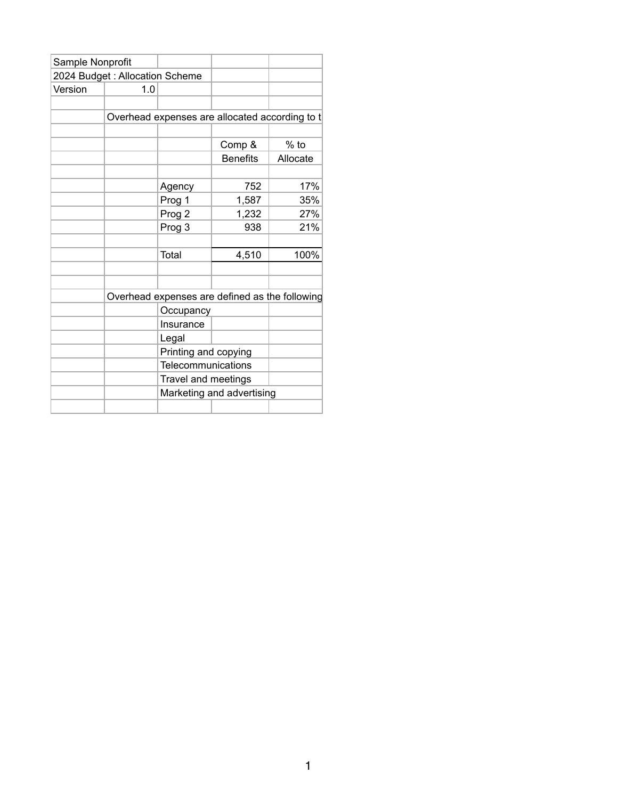| Sample Nonprofit |                                |                      |                                                |          |
|------------------|--------------------------------|----------------------|------------------------------------------------|----------|
|                  | 2024 Budget: Allocation Scheme |                      |                                                |          |
| Version          | 1.0                            |                      |                                                |          |
|                  |                                |                      |                                                |          |
|                  |                                |                      | Overhead expenses are allocated according to t |          |
|                  |                                |                      |                                                |          |
|                  |                                |                      | Comp &                                         | $%$ to   |
|                  |                                |                      | <b>Benefits</b>                                | Allocate |
|                  |                                |                      |                                                |          |
|                  |                                | Agency               | 752                                            | 17%      |
|                  |                                | Prog 1               | 1,587                                          | 35%      |
|                  |                                | Prog 2               | 1,232                                          | 27%      |
|                  |                                | Prog 3               | 938                                            | 21%      |
|                  |                                |                      |                                                |          |
|                  |                                | Total                | 4,510                                          | 100%     |
|                  |                                |                      |                                                |          |
|                  |                                |                      |                                                |          |
|                  |                                |                      | Overhead expenses are defined as the following |          |
|                  |                                | Occupancy            |                                                |          |
|                  |                                | Insurance            |                                                |          |
|                  |                                | Legal                |                                                |          |
|                  |                                | Printing and copying |                                                |          |
|                  |                                | Telecommunications   |                                                |          |
|                  |                                | Travel and meetings  |                                                |          |
|                  |                                |                      | Marketing and advertising                      |          |
|                  |                                |                      |                                                |          |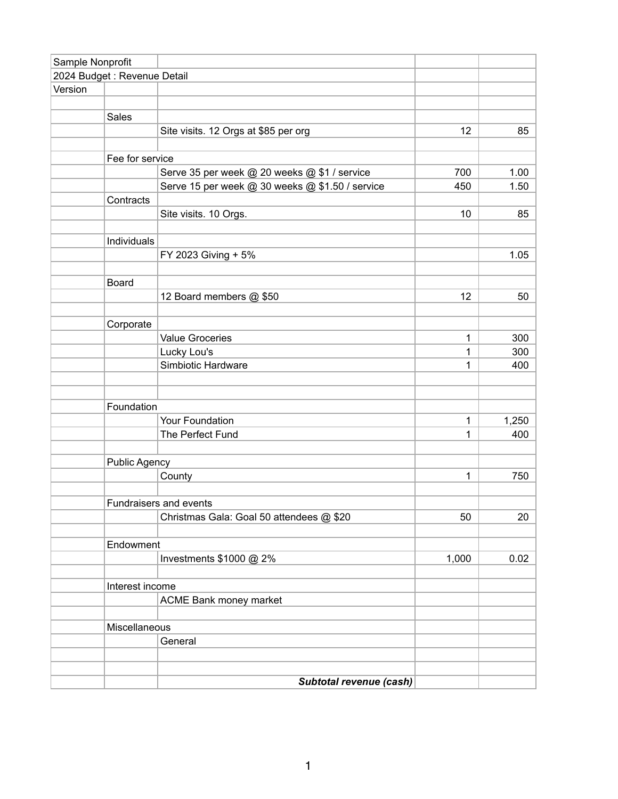| Sample Nonprofit |                              |                                                 |       |       |
|------------------|------------------------------|-------------------------------------------------|-------|-------|
|                  | 2024 Budget : Revenue Detail |                                                 |       |       |
| Version          |                              |                                                 |       |       |
|                  |                              |                                                 |       |       |
|                  | Sales                        |                                                 |       |       |
|                  |                              | Site visits. 12 Orgs at \$85 per org            | 12    | 85    |
|                  |                              |                                                 |       |       |
|                  | Fee for service              |                                                 |       |       |
|                  |                              | Serve 35 per week @ 20 weeks @ \$1 / service    | 700   | 1.00  |
|                  |                              | Serve 15 per week @ 30 weeks @ \$1.50 / service | 450   | 1.50  |
|                  | Contracts                    |                                                 |       |       |
|                  |                              | Site visits. 10 Orgs.                           | 10    | 85    |
|                  |                              |                                                 |       |       |
|                  | Individuals                  |                                                 |       |       |
|                  |                              | FY 2023 Giving + 5%                             |       | 1.05  |
|                  |                              |                                                 |       |       |
|                  | Board                        |                                                 |       |       |
|                  |                              | 12 Board members @ \$50                         | 12    | 50    |
|                  |                              |                                                 |       |       |
|                  | Corporate                    |                                                 |       |       |
|                  |                              | <b>Value Groceries</b>                          | 1     | 300   |
|                  |                              | Lucky Lou's                                     | 1     | 300   |
|                  |                              | Simbiotic Hardware                              | 1     | 400   |
|                  |                              |                                                 |       |       |
|                  |                              |                                                 |       |       |
|                  | Foundation                   |                                                 |       |       |
|                  |                              | Your Foundation                                 | 1     | 1,250 |
|                  |                              | The Perfect Fund                                | 1     | 400   |
|                  |                              |                                                 |       |       |
|                  | <b>Public Agency</b>         |                                                 |       |       |
|                  |                              | County                                          | 1     | 750   |
|                  |                              |                                                 |       |       |
|                  |                              | Fundraisers and events                          |       |       |
|                  |                              | Christmas Gala: Goal 50 attendees @ \$20        | 50    | 20    |
|                  |                              |                                                 |       |       |
|                  | Endowment                    |                                                 |       |       |
|                  |                              | Investments \$1000 @ 2%                         | 1,000 | 0.02  |
|                  |                              |                                                 |       |       |
|                  | Interest income              |                                                 |       |       |
|                  |                              | ACME Bank money market                          |       |       |
|                  |                              |                                                 |       |       |
|                  | Miscellaneous                |                                                 |       |       |
|                  |                              | General                                         |       |       |
|                  |                              |                                                 |       |       |
|                  |                              |                                                 |       |       |
|                  |                              | Subtotal revenue (cash)                         |       |       |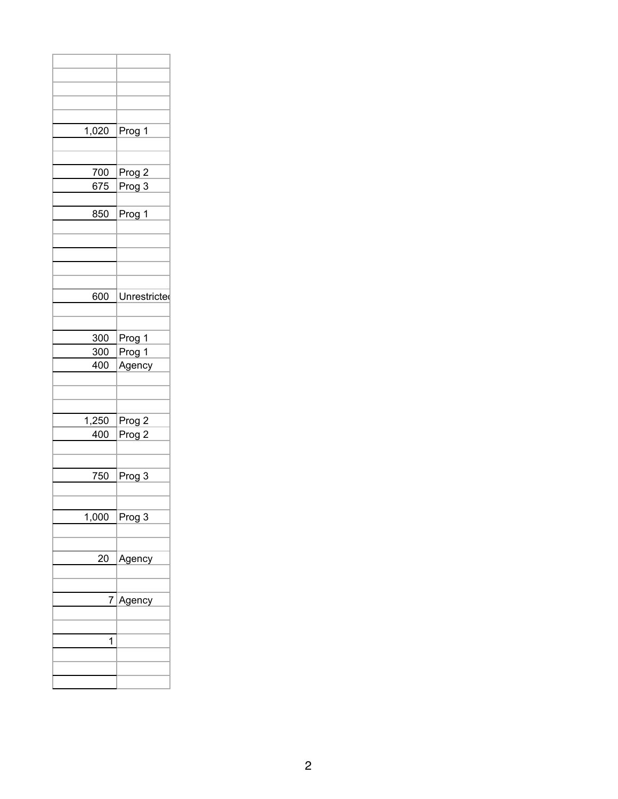| Prog 1       |
|--------------|
|              |
|              |
|              |
| Prog 2       |
| Prog 3       |
|              |
| Prog 1       |
|              |
|              |
|              |
|              |
|              |
|              |
| Unrestricted |
|              |
|              |
|              |
| Prog 1       |
| Prog 1       |
| Agency       |
|              |
|              |
|              |
|              |
| Prog 2       |
| Prog 2       |
|              |
|              |
| Prog 3       |
|              |
|              |
|              |
| Prog 3       |
|              |
|              |
| Agency       |
|              |
|              |
|              |
| Agency       |
|              |
|              |
|              |
|              |
|              |
|              |
|              |
|              |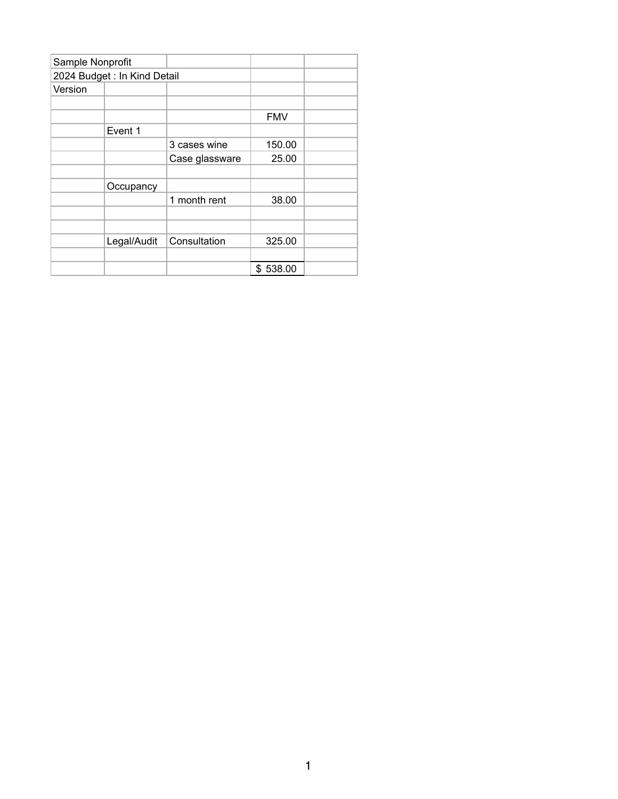| Sample Nonprofit |                |                             |  |
|------------------|----------------|-----------------------------|--|
|                  |                |                             |  |
|                  |                |                             |  |
|                  |                |                             |  |
|                  |                | <b>FMV</b>                  |  |
| Event 1          |                |                             |  |
|                  | 3 cases wine   | 150.00                      |  |
|                  | Case glassware | 25.00                       |  |
|                  |                |                             |  |
| Occupancy        |                |                             |  |
|                  | 1 month rent   | 38.00                       |  |
|                  |                |                             |  |
|                  |                |                             |  |
| Legal/Audit      | Consultation   | 325.00                      |  |
|                  |                |                             |  |
|                  |                | \$538.00                    |  |
|                  |                | 2024 Budget: In Kind Detail |  |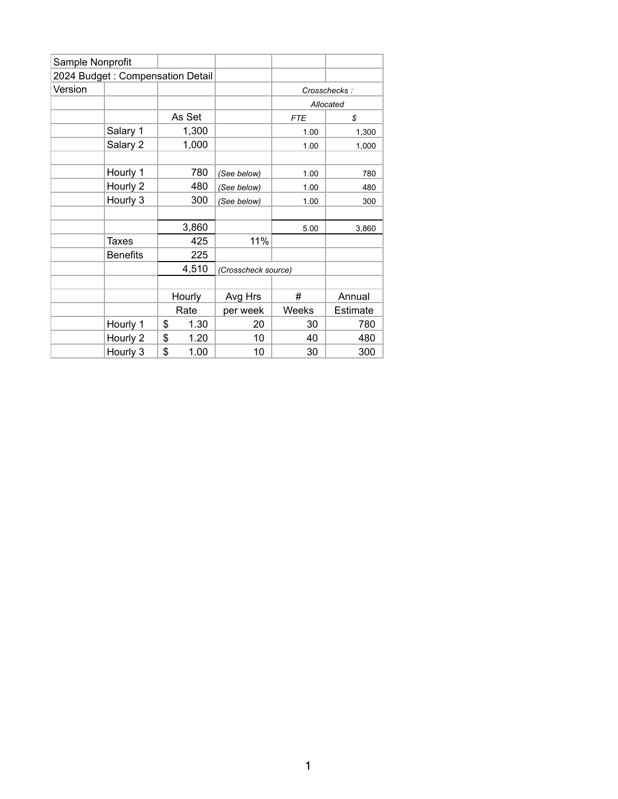| Sample Nonprofit |                                  |            |                     |            |              |
|------------------|----------------------------------|------------|---------------------|------------|--------------|
|                  | 2024 Budget: Compensation Detail |            |                     |            |              |
| Version          |                                  |            |                     |            | Crosschecks: |
|                  |                                  |            |                     |            | Allocated    |
|                  |                                  | As Set     |                     | <b>FTE</b> | \$           |
|                  | Salary 1                         | 1,300      |                     | 1.00       | 1,300        |
|                  | Salary 2                         | 1,000      |                     | 1.00       | 1,000        |
|                  |                                  |            |                     |            |              |
|                  | Hourly 1                         | 780        | (See below)         | 1.00       | 780          |
|                  | Hourly 2                         | 480        | (See below)         | 1.00       | 480          |
|                  | Hourly 3                         | 300        | (See below)         | 1.00       | 300          |
|                  |                                  |            |                     |            |              |
|                  |                                  | 3,860      |                     | 5.00       | 3,860        |
|                  | Taxes                            | 425        | 11%                 |            |              |
|                  | <b>Benefits</b>                  | 225        |                     |            |              |
|                  |                                  | 4,510      | (Crosscheck source) |            |              |
|                  |                                  |            |                     |            |              |
|                  |                                  | Hourly     | Avg Hrs             | #          | Annual       |
|                  |                                  | Rate       | per week            | Weeks      | Estimate     |
|                  | Hourly 1                         | \$<br>1.30 | 20                  | 30         | 780          |
|                  | Hourly 2                         | \$<br>1.20 | 10                  | 40         | 480          |
|                  | Hourly 3                         | \$<br>1.00 | 10                  | 30         | 300          |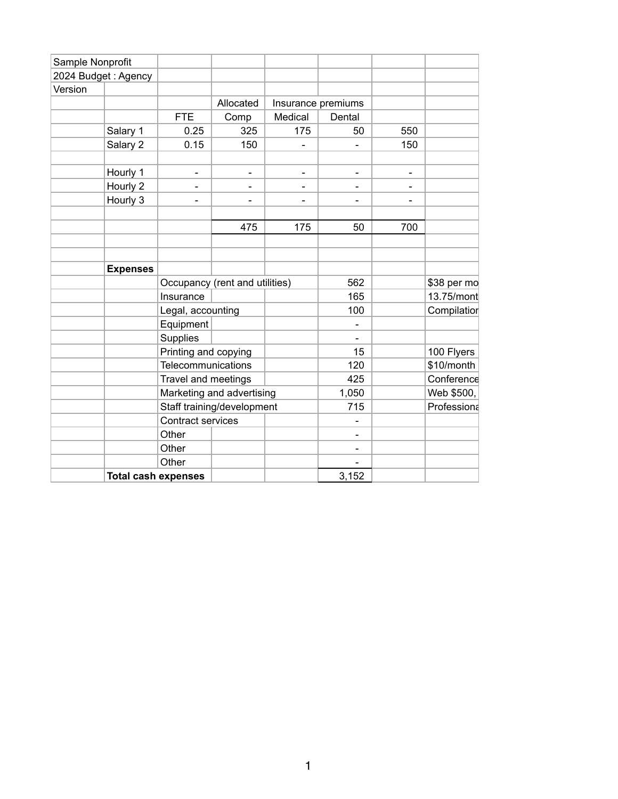| Sample Nonprofit |                            |                                |                          |                |                          |                |             |
|------------------|----------------------------|--------------------------------|--------------------------|----------------|--------------------------|----------------|-------------|
|                  | 2024 Budget: Agency        |                                |                          |                |                          |                |             |
| Version          |                            |                                |                          |                |                          |                |             |
|                  |                            |                                | Allocated                |                | Insurance premiums       |                |             |
|                  |                            | <b>FTE</b>                     | Comp                     | Medical        | Dental                   |                |             |
|                  | Salary 1                   | 0.25                           | 325                      | 175            | 50                       | 550            |             |
|                  | Salary 2                   | 0.15                           | 150                      | $\blacksquare$ | $\blacksquare$           | 150            |             |
|                  |                            |                                |                          |                |                          |                |             |
|                  | Hourly 1                   | $\mathbf{r}$                   | $\blacksquare$           | $\blacksquare$ | $\blacksquare$           | $\blacksquare$ |             |
|                  | Hourly 2                   | $\blacksquare$                 | $\overline{\phantom{a}}$ | $\blacksquare$ | $\blacksquare$           | $\blacksquare$ |             |
|                  | Hourly 3                   | $\blacksquare$                 | L,                       | $\blacksquare$ | $\blacksquare$           | $\blacksquare$ |             |
|                  |                            |                                |                          |                |                          |                |             |
|                  |                            |                                | 475                      | 175            | 50                       | 700            |             |
|                  |                            |                                |                          |                |                          |                |             |
|                  |                            |                                |                          |                |                          |                |             |
|                  | <b>Expenses</b>            |                                |                          |                |                          |                |             |
|                  |                            | Occupancy (rent and utilities) |                          |                | 562                      |                | \$38 per mo |
|                  |                            | Insurance                      |                          |                | 165                      |                | 13.75/mont  |
|                  |                            | Legal, accounting              |                          |                | 100                      |                | Compilatior |
|                  |                            | Equipment                      |                          |                | $\overline{\phantom{a}}$ |                |             |
|                  |                            | Supplies                       |                          |                | $\blacksquare$           |                |             |
|                  |                            | Printing and copying           |                          |                | 15                       |                | 100 Flyers  |
|                  |                            | Telecommunications             |                          |                | 120                      |                | \$10/month  |
|                  |                            | Travel and meetings            |                          |                | 425                      |                | Conference  |
|                  |                            | Marketing and advertising      |                          |                | 1,050                    |                | Web \$500,  |
|                  |                            | Staff training/development     |                          |                | 715                      |                | Professiona |
|                  |                            | Contract services              |                          |                | $\blacksquare$           |                |             |
|                  |                            | Other                          |                          |                | $\blacksquare$           |                |             |
|                  |                            | Other                          |                          |                | $\blacksquare$           |                |             |
|                  |                            | Other                          |                          |                |                          |                |             |
|                  | <b>Total cash expenses</b> |                                |                          |                | 3,152                    |                |             |
|                  |                            |                                |                          |                |                          |                |             |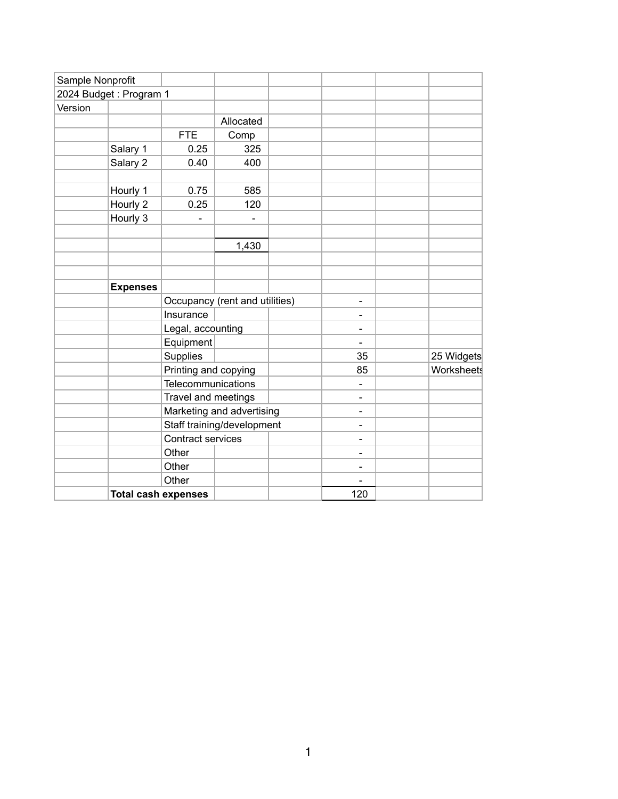| Sample Nonprofit |                            |                      |                                |  |                          |            |
|------------------|----------------------------|----------------------|--------------------------------|--|--------------------------|------------|
|                  | 2024 Budget: Program 1     |                      |                                |  |                          |            |
| Version          |                            |                      |                                |  |                          |            |
|                  |                            |                      | Allocated                      |  |                          |            |
|                  |                            | <b>FTE</b>           | Comp                           |  |                          |            |
|                  | Salary 1                   | 0.25                 | 325                            |  |                          |            |
|                  | Salary 2                   | 0.40                 | 400                            |  |                          |            |
|                  |                            |                      |                                |  |                          |            |
|                  | Hourly 1                   | 0.75                 | 585                            |  |                          |            |
|                  | Hourly 2                   | 0.25                 | 120                            |  |                          |            |
|                  | Hourly 3                   |                      |                                |  |                          |            |
|                  |                            |                      |                                |  |                          |            |
|                  |                            |                      | 1,430                          |  |                          |            |
|                  |                            |                      |                                |  |                          |            |
|                  |                            |                      |                                |  |                          |            |
|                  | <b>Expenses</b>            |                      |                                |  |                          |            |
|                  |                            |                      | Occupancy (rent and utilities) |  | $\blacksquare$           |            |
|                  |                            | Insurance            |                                |  | $\blacksquare$           |            |
|                  |                            | Legal, accounting    |                                |  | Ξ.                       |            |
|                  |                            | Equipment            |                                |  | $\blacksquare$           |            |
|                  |                            | Supplies             |                                |  | 35                       | 25 Widgets |
|                  |                            | Printing and copying |                                |  | 85                       | Worksheets |
|                  |                            | Telecommunications   |                                |  | $\overline{\phantom{0}}$ |            |
|                  |                            | Travel and meetings  |                                |  | $\overline{\phantom{0}}$ |            |
|                  |                            |                      | Marketing and advertising      |  | Ξ.                       |            |
|                  |                            |                      | Staff training/development     |  | Ξ.                       |            |
|                  |                            | Contract services    |                                |  | $\blacksquare$           |            |
|                  |                            | Other                |                                |  | -                        |            |
|                  |                            | Other                |                                |  | $\overline{\phantom{0}}$ |            |
|                  |                            | Other                |                                |  |                          |            |
|                  | <b>Total cash expenses</b> |                      |                                |  | 120                      |            |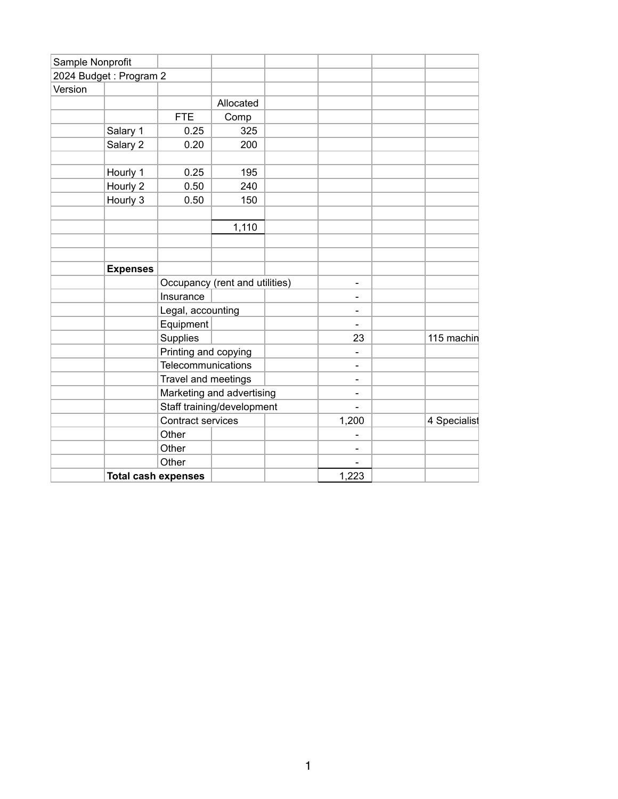| Sample Nonprofit       |                 |                                |           |                              |              |
|------------------------|-----------------|--------------------------------|-----------|------------------------------|--------------|
| 2024 Budget: Program 2 |                 |                                |           |                              |              |
| Version                |                 |                                |           |                              |              |
|                        |                 |                                | Allocated |                              |              |
|                        |                 | <b>FTE</b>                     | Comp      |                              |              |
|                        | Salary 1        | 0.25                           | 325       |                              |              |
|                        | Salary 2        | 0.20                           | 200       |                              |              |
|                        |                 |                                |           |                              |              |
|                        | Hourly 1        | 0.25                           | 195       |                              |              |
|                        | Hourly 2        | 0.50                           | 240       |                              |              |
|                        | Hourly 3        | 0.50                           | 150       |                              |              |
|                        |                 |                                |           |                              |              |
|                        |                 |                                | 1,110     |                              |              |
|                        |                 |                                |           |                              |              |
|                        |                 |                                |           |                              |              |
|                        | <b>Expenses</b> |                                |           |                              |              |
|                        |                 | Occupancy (rent and utilities) |           | $\qquad \qquad \blacksquare$ |              |
|                        |                 | Insurance                      |           | $\blacksquare$               |              |
|                        |                 | Legal, accounting              |           | $\blacksquare$               |              |
|                        |                 | Equipment                      |           | $\overline{\phantom{a}}$     |              |
|                        |                 | Supplies                       |           | 23                           | 115 machin   |
|                        |                 | Printing and copying           |           | $\qquad \qquad \blacksquare$ |              |
|                        |                 | Telecommunications             |           | $\overline{\phantom{a}}$     |              |
|                        |                 | Travel and meetings            |           | $\qquad \qquad$              |              |
|                        |                 | Marketing and advertising      |           | $\overline{\phantom{a}}$     |              |
|                        |                 | Staff training/development     |           |                              |              |
|                        |                 | Contract services              |           | 1,200                        | 4 Specialist |
|                        |                 | Other                          |           | $\qquad \qquad \blacksquare$ |              |
|                        |                 | Other                          |           | $\overline{\phantom{a}}$     |              |
|                        |                 | Other                          |           |                              |              |
|                        |                 | <b>Total cash expenses</b>     |           | 1,223                        |              |